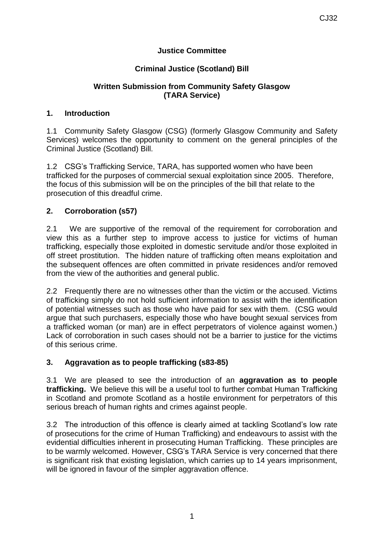# **Justice Committee**

# **Criminal Justice (Scotland) Bill**

### **Written Submission from Community Safety Glasgow (TARA Service)**

### **1. Introduction**

1.1 Community Safety Glasgow (CSG) (formerly Glasgow Community and Safety Services) welcomes the opportunity to comment on the general principles of the Criminal Justice (Scotland) Bill.

1.2 CSG's Trafficking Service, TARA, has supported women who have been trafficked for the purposes of commercial sexual exploitation since 2005. Therefore, the focus of this submission will be on the principles of the bill that relate to the prosecution of this dreadful crime.

# **2. Corroboration (s57)**

2.1 We are supportive of the removal of the requirement for corroboration and view this as a further step to improve access to justice for victims of human trafficking, especially those exploited in domestic servitude and/or those exploited in off street prostitution. The hidden nature of trafficking often means exploitation and the subsequent offences are often committed in private residences and/or removed from the view of the authorities and general public.

2.2 Frequently there are no witnesses other than the victim or the accused. Victims of trafficking simply do not hold sufficient information to assist with the identification of potential witnesses such as those who have paid for sex with them. (CSG would argue that such purchasers, especially those who have bought sexual services from a trafficked woman (or man) are in effect perpetrators of violence against women.) Lack of corroboration in such cases should not be a barrier to justice for the victims of this serious crime.

#### **3. Aggravation as to people trafficking (s83-85)**

3.1 We are pleased to see the introduction of an **aggravation as to people trafficking.** We believe this will be a useful tool to further combat Human Trafficking in Scotland and promote Scotland as a hostile environment for perpetrators of this serious breach of human rights and crimes against people.

3.2 The introduction of this offence is clearly aimed at tackling Scotland's low rate of prosecutions for the crime of Human Trafficking) and endeavours to assist with the evidential difficulties inherent in prosecuting Human Trafficking. These principles are to be warmly welcomed. However, CSG's TARA Service is very concerned that there is significant risk that existing legislation, which carries up to 14 years imprisonment, will be ignored in favour of the simpler aggravation offence.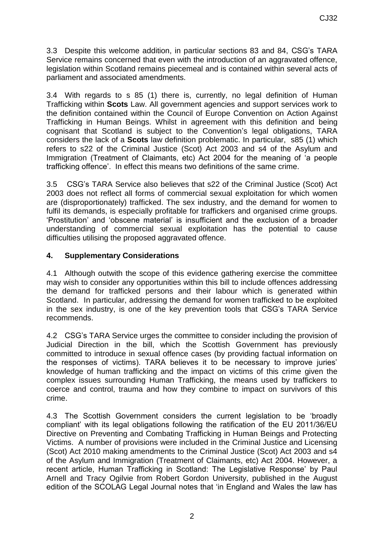3.3 Despite this welcome addition, in particular sections 83 and 84, CSG's TARA Service remains concerned that even with the introduction of an aggravated offence, legislation within Scotland remains piecemeal and is contained within several acts of parliament and associated amendments.

3.4 With regards to s 85 (1) there is, currently, no legal definition of Human Trafficking within **Scots** Law. All government agencies and support services work to the definition contained within the Council of Europe Convention on Action Against Trafficking in Human Beings. Whilst in agreement with this definition and being cognisant that Scotland is subject to the Convention's legal obligations, TARA considers the lack of a **Scots** law definition problematic. In particular, s85 (1) which refers to s22 of the Criminal Justice (Scot) Act 2003 and s4 of the Asylum and Immigration (Treatment of Claimants, etc) Act 2004 for the meaning of 'a people trafficking offence'. In effect this means two definitions of the same crime.

3.5 CSG's TARA Service also believes that s22 of the Criminal Justice (Scot) Act 2003 does not reflect all forms of commercial sexual exploitation for which women are (disproportionately) trafficked. The sex industry, and the demand for women to fulfil its demands, is especially profitable for traffickers and organised crime groups. 'Prostitution' and 'obscene material' is insufficient and the exclusion of a broader understanding of commercial sexual exploitation has the potential to cause difficulties utilising the proposed aggravated offence.

### **4. Supplementary Considerations**

4.1 Although outwith the scope of this evidence gathering exercise the committee may wish to consider any opportunities within this bill to include offences addressing the demand for trafficked persons and their labour which is generated within Scotland. In particular, addressing the demand for women trafficked to be exploited in the sex industry, is one of the key prevention tools that CSG's TARA Service recommends.

4.2 CSG's TARA Service urges the committee to consider including the provision of Judicial Direction in the bill, which the Scottish Government has previously committed to introduce in sexual offence cases (by providing factual information on the responses of victims). TARA believes it to be necessary to improve juries' knowledge of human trafficking and the impact on victims of this crime given the complex issues surrounding Human Trafficking, the means used by traffickers to coerce and control, trauma and how they combine to impact on survivors of this crime.

4.3 The Scottish Government considers the current legislation to be 'broadly compliant' with its legal obligations following the ratification of the EU 2011/36/EU Directive on Preventing and Combating Trafficking in Human Beings and Protecting Victims. A number of provisions were included in the Criminal Justice and Licensing (Scot) Act 2010 making amendments to the Criminal Justice (Scot) Act 2003 and s4 of the Asylum and Immigration (Treatment of Claimants, etc) Act 2004. However, a recent article, Human Trafficking in Scotland: The Legislative Response' by Paul Arnell and Tracy Ogilvie from Robert Gordon University, published in the August edition of the SCOLAG Legal Journal notes that 'in England and Wales the law has